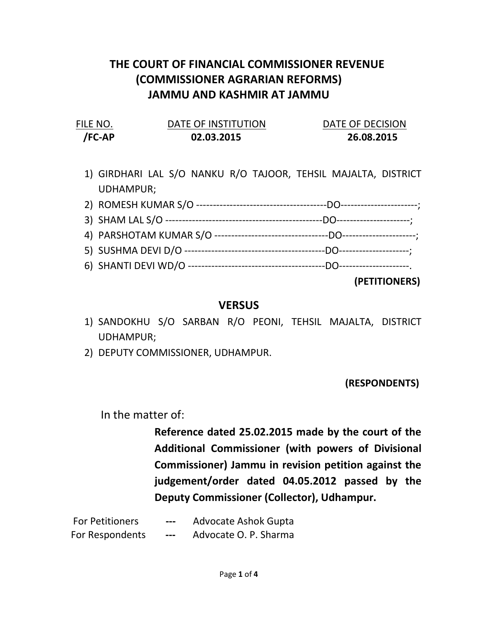## THE COURT OF FINANCIAL COMMISSIONER REVENUE (COMMISSIONER AGRARIAN REFORMS) JAMMU AND KASHMIR AT JAMMU

| FILE NO. | DATE OF INSTITUTION | DATE OF DECISION |
|----------|---------------------|------------------|
| /FC-AP   | 02.03.2015          | 26.08.2015       |

- 1) GIRDHARI LAL S/O NANKU R/O TAJOOR, TEHSIL MAJALTA, DISTRICT UDHAMPUR; 2) ROMESH KUMAR S/O ---------------------------------------DO-----------------------;
- 3) SHAM LAL S/O -----------------------------------------------DO----------------------; 4) PARSHOTAM KUMAR S/O ----------------------------------DO----------------------;
- 5) SUSHMA DEVI D/O ------------------------------------------DO---------------------;
- 6) SHANTI DEVI WD/O -----------------------------------------DO---------------------.

(PETITIONERS)

## VERSUS

- 1) SANDOKHU S/O SARBAN R/O PEONI, TEHSIL MAJALTA, DISTRICT UDHAMPUR;
- 2) DEPUTY COMMISSIONER, UDHAMPUR.

(RESPONDENTS)

In the matter of:

Reference dated 25.02.2015 made by the court of the Additional Commissioner (with powers of Divisional Commissioner) Jammu in revision petition against the judgement/order dated 04.05.2012 passed by the Deputy Commissioner (Collector), Udhampur.

For Petitioners --- Advocate Ashok Gupta For Respondents --- Advocate O. P. Sharma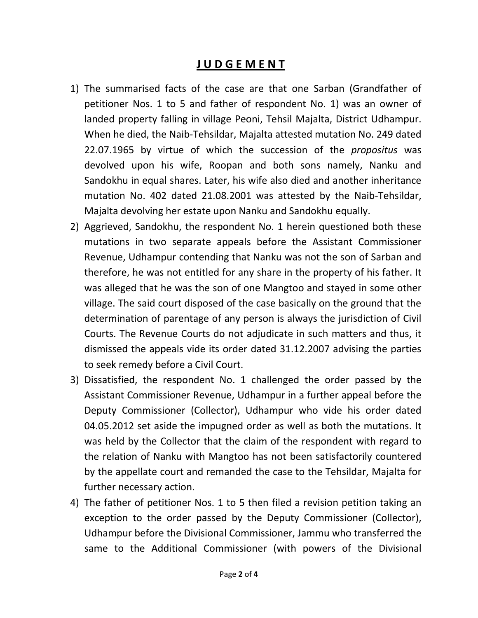## J U D G E M E N T

- 1) The summarised facts of the case are that one Sarban (Grandfather of petitioner Nos. 1 to 5 and father of respondent No. 1) was an owner of landed property falling in village Peoni, Tehsil Majalta, District Udhampur. When he died, the Naib-Tehsildar, Majalta attested mutation No. 249 dated 22.07.1965 by virtue of which the succession of the *propositus* was devolved upon his wife, Roopan and both sons namely, Nanku and Sandokhu in equal shares. Later, his wife also died and another inheritance mutation No. 402 dated 21.08.2001 was attested by the Naib-Tehsildar, Majalta devolving her estate upon Nanku and Sandokhu equally.
- 2) Aggrieved, Sandokhu, the respondent No. 1 herein questioned both these mutations in two separate appeals before the Assistant Commissioner Revenue, Udhampur contending that Nanku was not the son of Sarban and therefore, he was not entitled for any share in the property of his father. It was alleged that he was the son of one Mangtoo and stayed in some other village. The said court disposed of the case basically on the ground that the determination of parentage of any person is always the jurisdiction of Civil Courts. The Revenue Courts do not adjudicate in such matters and thus, it dismissed the appeals vide its order dated 31.12.2007 advising the parties to seek remedy before a Civil Court.
- 3) Dissatisfied, the respondent No. 1 challenged the order passed by the Assistant Commissioner Revenue, Udhampur in a further appeal before the Deputy Commissioner (Collector), Udhampur who vide his order dated 04.05.2012 set aside the impugned order as well as both the mutations. It was held by the Collector that the claim of the respondent with regard to the relation of Nanku with Mangtoo has not been satisfactorily countered by the appellate court and remanded the case to the Tehsildar, Majalta for further necessary action.
- 4) The father of petitioner Nos. 1 to 5 then filed a revision petition taking an exception to the order passed by the Deputy Commissioner (Collector), Udhampur before the Divisional Commissioner, Jammu who transferred the same to the Additional Commissioner (with powers of the Divisional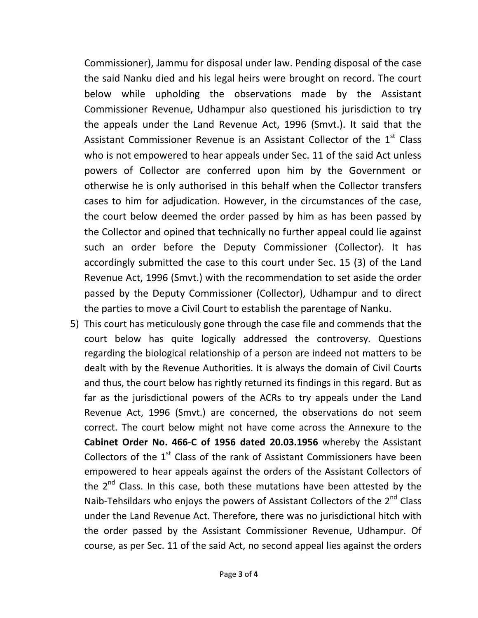Commissioner), Jammu for disposal under law. Pending disposal of the case the said Nanku died and his legal heirs were brought on record. The court below while upholding the observations made by the Assistant Commissioner Revenue, Udhampur also questioned his jurisdiction to try the appeals under the Land Revenue Act, 1996 (Smvt.). It said that the Assistant Commissioner Revenue is an Assistant Collector of the  $1<sup>st</sup>$  Class who is not empowered to hear appeals under Sec. 11 of the said Act unless powers of Collector are conferred upon him by the Government or otherwise he is only authorised in this behalf when the Collector transfers cases to him for adjudication. However, in the circumstances of the case, the court below deemed the order passed by him as has been passed by the Collector and opined that technically no further appeal could lie against such an order before the Deputy Commissioner (Collector). It has accordingly submitted the case to this court under Sec. 15 (3) of the Land Revenue Act, 1996 (Smvt.) with the recommendation to set aside the order passed by the Deputy Commissioner (Collector), Udhampur and to direct the parties to move a Civil Court to establish the parentage of Nanku.

5) This court has meticulously gone through the case file and commends that the court below has quite logically addressed the controversy. Questions regarding the biological relationship of a person are indeed not matters to be dealt with by the Revenue Authorities. It is always the domain of Civil Courts and thus, the court below has rightly returned its findings in this regard. But as far as the jurisdictional powers of the ACRs to try appeals under the Land Revenue Act, 1996 (Smvt.) are concerned, the observations do not seem correct. The court below might not have come across the Annexure to the Cabinet Order No. 466-C of 1956 dated 20.03.1956 whereby the Assistant Collectors of the  $1<sup>st</sup>$  Class of the rank of Assistant Commissioners have been empowered to hear appeals against the orders of the Assistant Collectors of the  $2<sup>nd</sup>$  Class. In this case, both these mutations have been attested by the Naib-Tehsildars who enjoys the powers of Assistant Collectors of the  $2<sup>nd</sup>$  Class under the Land Revenue Act. Therefore, there was no jurisdictional hitch with the order passed by the Assistant Commissioner Revenue, Udhampur. Of course, as per Sec. 11 of the said Act, no second appeal lies against the orders